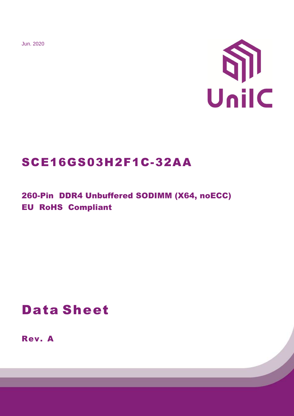Jun. 2020



# SCE16GS03H2F1C-32AA

260-Pin DDR4 Unbuffered SODIMM (X64, noECC) EU RoHS Compliant

# Data Sheet

Rev. A

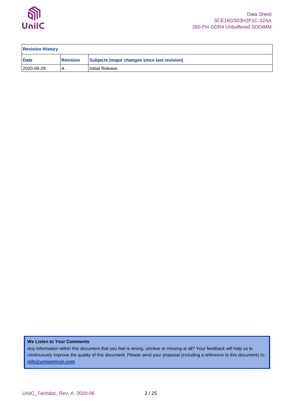

| <b>Revision History</b> |                 |                                              |  |  |  |  |  |
|-------------------------|-----------------|----------------------------------------------|--|--|--|--|--|
| <b>Date</b>             | <b>Revision</b> | Subjects (major changes since last revision) |  |  |  |  |  |
| 2020-06-29              |                 | Initial Release                              |  |  |  |  |  |

### **We Listen to Your Comments**

Any information within this document that you feel is wrong, unclear or missing at all? Your feedback will help us to continuously improve the quality of this document. Please send your proposal (including a reference to this document) to: **[info@unisemicon.com](mailto:info@scsemicon.com)**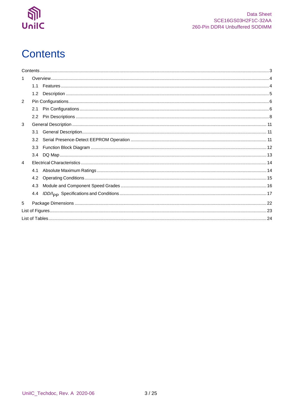

# <span id="page-2-0"></span>**Contents**

| 1.             |     |  |
|----------------|-----|--|
|                | 1.1 |  |
|                | 1.2 |  |
| $\mathcal{P}$  |     |  |
|                | 2.1 |  |
|                |     |  |
| 3              |     |  |
|                | 3.1 |  |
|                | 3.2 |  |
|                | 3.3 |  |
|                | 3.4 |  |
| $\overline{4}$ |     |  |
|                | 4.1 |  |
|                | 4.2 |  |
|                | 4.3 |  |
|                | 4.4 |  |
| 5              |     |  |
|                |     |  |
|                |     |  |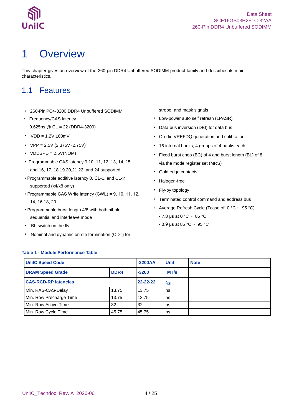

# <span id="page-3-0"></span>1 Overview

This chapter gives an overview of the 260-pin DDR4 Unbuffered SODIMM product family and describes its main characteristics.

## <span id="page-3-1"></span>1.1 Features

- 260-Pin PC4-3200 DDR4 Unbuffered SODIMM
- Frequency/CAS latency 0.625ns @ CL = 22 (DDR4-3200)
- $VDD = 1.2V \pm 60mV$
- $VPP = 2.5V (2.375V 2.75V)$
- $VDDSPD = 2.5V(NOM)$
- Programmable CAS latency 9,10, 11, 12, 13, 14, 15 and 16, 17, 18,19 20,21,22, and 24 supported
- Programmable additive latency 0, CL-1, and CLsupported (x4/x8 only)
- Programmable CAS Write latency (CWL) = 9, 10, 11, 12, 14, 16,18, 20
- Programmable burst length 4/8 with both nibble sequential and interleave mode
- BL switch on the fly
- Nominal and dynamic on-die termination (ODT) for

strobe, and mask signals

- Low-power auto self refresh (LPASR)
- Data bus inversion (DBI) for data bus
- On-die VREFDQ generation and calibration
- 16 internal banks; 4 groups of 4 banks each
- Fixed burst chop (BC) of 4 and burst length (BL) of 8 via the mode register set (MRS)
- Gold edge contacts
- Halogen-free
- Fly-by topology
- Terminated control command and address bus
- Average Refresh Cycle (Tcase of  $0 °C ~ 95 °C$ )
	- $7.8 \,\mu s$  at 0 °C ~ 85 °C
	- 3.9 μs at 85 °C ~ 95 °C

### <span id="page-3-2"></span>**Table 1 - Module Performance Table**

| <b>UnilC Speed Code</b>     |         | $-3200AA$      | <b>Unit</b> | <b>Note</b> |
|-----------------------------|---------|----------------|-------------|-------------|
| <b>DRAM Speed Grade</b>     | $-3200$ | MT/s           |             |             |
| <b>CAS-RCD-RP latencies</b> |         | $22 - 22 - 22$ | $t_{CK}$    |             |
| Min. RAS-CAS-Delay          | 13.75   | 13.75          | ns          |             |
| Min. Row Precharge Time     | 13.75   | 13.75          | ns          |             |
| Min. Row Active Time        | 32      | ns             |             |             |
| Min. Row Cycle Time         | 45.75   | ns             |             |             |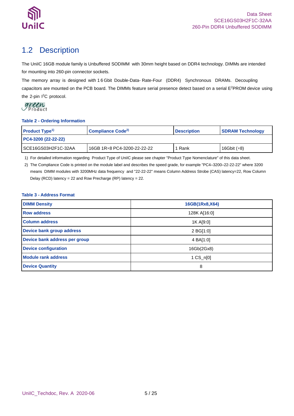

## <span id="page-4-0"></span>1.2 Description

The UniIC 16GB module family is Unbuffered SODIMM with 30mm height based on DDR4 technology. DIMMs are intended for mounting into 260-pin connector sockets.

The memory array is designed with 1 6 Gbit Double-Data- Rate-Four (DDR4) Synchronous DRAMs. Decoupling capacitors are mounted on the PCB board. The DIMMs feature serial presence detect based on a serial E <sup>2</sup>PROM device using the 2-pin I<sup>2</sup>C protocol.

#### <span id="page-4-1"></span>**Table 2 - Ordering Information**

| <b>Product Type<sup>1)</sup></b> | Compliance Code <sup>2)</sup> | <b>Description</b> | <b>SDRAM Technology</b> |  |
|----------------------------------|-------------------------------|--------------------|-------------------------|--|
| PC4-3200 (22-22-22)              |                               |                    |                         |  |
| I SCE16GS03H2F1C-32AA            | 16GB 1R × 8 PC4-3200-22-22-22 | Rank               | 16Gbit $(x8)$           |  |

1) For detailed information regarding Product Type of UniIC please see chapter "Product Type Nomenclature" of this data sheet.

2) The Compliance Code is printed on the module label and describes the speed grade, for example "PC4–3200–22-22-22" where 3200 means DIMM modules with 3200MHz data frequency and "22-22-22" means Column Address Strobe (CAS) latency=22, Row Column Delay (RCD) latency = 22 and Row Precharge (RP) latency = 22.

### <span id="page-4-2"></span>**Table 3 - Address Format**

| <b>DIMM Density</b>           | 16GB(1Rx8,X64)      |
|-------------------------------|---------------------|
| <b>Row address</b>            | 128K A[16:0]        |
| <b>Column address</b>         | 1K A[9:0]           |
| Device bank group address     | 2 BG[1:0]           |
| Device bank address per group | 4 BA[1:0]           |
| <b>Device configuration</b>   | 16Gb(2Gx8)          |
| <b>Module rank address</b>    | $1 \text{ CS}$ n[0] |
| <b>Device Quantity</b>        | 8                   |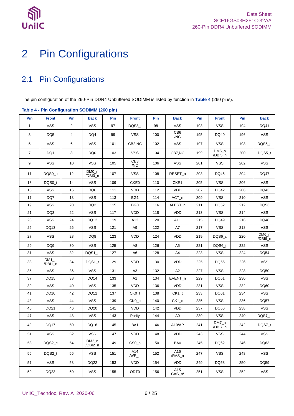

# <span id="page-5-0"></span>Pin Configurations

## <span id="page-5-1"></span>2.1 Pin Configurations

The pin configuration of the 260-Pin DDR4 Unbuffered SODIMM is listed by function in **[Table 4](#page-5-2)** (260 pins).

| rable + - 1 in conniguration copilities (200 pm) |                    |                |                    |     |                        |     |                 |     |                    |     |                    |
|--------------------------------------------------|--------------------|----------------|--------------------|-----|------------------------|-----|-----------------|-----|--------------------|-----|--------------------|
| Pin                                              | <b>Front</b>       | Pin            | <b>Back</b>        | Pin | <b>Front</b>           | Pin | <b>Back</b>     | Pin | <b>Front</b>       | Pin | <b>Back</b>        |
| $\mathbf{1}$                                     | <b>VSS</b>         | $\overline{c}$ | <b>VSS</b>         | 97  | DQS8_t                 | 98  | <b>VSS</b>      | 193 | <b>VSS</b>         | 194 | DQ41               |
| 3                                                | DQ5                | 4              | DQ4                | 99  | VSS.                   | 100 | CB6<br>/NC      | 195 | DQ40               | 196 | <b>VSS</b>         |
| 5                                                | <b>VSS</b>         | 6              | <b>VSS</b>         | 101 | CB2,NC                 | 102 | <b>VSS</b>      | 197 | <b>VSS</b>         | 198 | DQS5_c             |
| $\overline{7}$                                   | DQ1                | 8              | DQ0                | 103 | <b>VSS</b>             | 104 | CB7,NC          | 199 | $DM5_n$<br>/DBI5_n | 200 | DQS5_t             |
| 9                                                | <b>VSS</b>         | 10             | <b>VSS</b>         | 105 | CB <sub>3</sub><br>/NC | 106 | <b>VSS</b>      | 201 | <b>VSS</b>         | 202 | <b>VSS</b>         |
| 11                                               | DQS0 c             | 12             | DM0_n<br>/DBI0_n   | 107 | <b>VSS</b>             | 108 | RESET_n         | 203 | DQ46               | 204 | <b>DQ47</b>        |
| 13                                               | DQS0_t             | 14             | <b>VSS</b>         | 109 | CKE0                   | 110 | CKE1            | 205 | <b>VSS</b>         | 206 | <b>VSS</b>         |
| 15                                               | <b>VSS</b>         | 16             | DQ6                | 111 | <b>VDD</b>             | 112 | <b>VDD</b>      | 207 | DQ42               | 208 | DQ43               |
| 17                                               | DQ7                | 18             | <b>VSS</b>         | 113 | BG1                    | 114 | $ACT_n$         | 209 | <b>VSS</b>         | 210 | <b>VSS</b>         |
| 19                                               | <b>VSS</b>         | 20             | DQ <sub>2</sub>    | 115 | BG <sub>0</sub>        | 116 | ALERT_n         | 211 | DQ52               | 212 | DQ53               |
| 21                                               | DQ3                | 22             | <b>VSS</b>         | 117 | <b>VDD</b>             | 118 | <b>VDD</b>      | 213 | <b>VSS</b>         | 214 | <b>VSS</b>         |
| 23                                               | <b>VSS</b>         | 24             | DQ12               | 119 | A12                    | 120 | A11             | 215 | DQ49               | 216 | DQ48               |
| 25                                               | DQ13               | 26             | <b>VSS</b>         | 121 | A9                     | 122 | A7              | 217 | <b>VSS</b>         | 218 | <b>VSS</b>         |
| 27                                               | <b>VSS</b>         | 28             | DQ8                | 123 | VDD                    | 124 | <b>VDD</b>      | 219 | DQS6_c             | 220 | $DM6_n$<br>/DBI6_n |
| 29                                               | DQ <sub>9</sub>    | 30             | <b>VSS</b>         | 125 | A <sub>8</sub>         | 126 | A <sub>5</sub>  | 221 | DQS6_t             | 222 | <b>VSS</b>         |
| 31                                               | <b>VSS</b>         | 32             | DQS1_c             | 127 | A6                     | 128 | A4              | 223 | <b>VSS</b>         | 224 | <b>DQ54</b>        |
| 33                                               | $DM1_n$<br>/DBI1_n | 34             | DQS1_t             | 129 | <b>VDD</b>             | 130 | <b>VDD</b>      | 225 | DQ55               | 226 | <b>VSS</b>         |
| 35                                               | <b>VSS</b>         | 36             | <b>VSS</b>         | 131 | A <sub>3</sub>         | 132 | A2              | 227 | <b>VSS</b>         | 228 | DQ50               |
| 37                                               | DQ15               | 38             | <b>DQ14</b>        | 133 | A <sub>1</sub>         | 134 | $EVENT_n$       | 229 | DQ51               | 230 | <b>VSS</b>         |
| 39                                               | <b>VSS</b>         | 40             | <b>VSS</b>         | 135 | <b>VDD</b>             | 136 | <b>VDD</b>      | 231 | <b>VSS</b>         | 232 | DQ60               |
| 41                                               | DQ10               | 42             | DQ11               | 137 | $CKO_t$                | 138 | $CK1_t$         | 233 | DQ61               | 234 | <b>VSS</b>         |
| 43                                               | <b>VSS</b>         | 44             | <b>VSS</b>         | 139 | $CKO_{c}$              | 140 | $CK1_c$         | 235 | <b>VSS</b>         | 236 | DQ57               |
| 45                                               | DQ21               | 46             | DQ20               | 141 | <b>VDD</b>             | 142 | <b>VDD</b>      | 237 | DQ56               | 238 | <b>VSS</b>         |
| 47                                               | <b>VSS</b>         | 48             | VSS                | 143 | Parity                 | 144 | A <sub>0</sub>  | 239 | <b>VSS</b>         | 240 | DQS7_c             |
| 49                                               | <b>DQ17</b>        | 50             | DQ16               | 145 | BA1                    | 146 | A10/AP          | 241 | $DM7_n$<br>/DBI7_n | 242 | DQS7_t             |
| 51                                               | VSS                | 52             | <b>VSS</b>         | 147 | VDD                    | 148 | <b>VDD</b>      | 243 | <b>VSS</b>         | 244 | <b>VSS</b>         |
| 53                                               | DQS2_c             | 54             | $DM2_n$<br>/DBI2_n | 149 | CS0 <sub>n</sub>       | 150 | BA0             | 245 | DQ62               | 246 | DQ63               |
| 55                                               | DQS2_t             | 56             | <b>VSS</b>         | 151 | A14<br>$/WE_n$         | 152 | A16<br>/RAS_n   | 247 | <b>VSS</b>         | 248 | <b>VSS</b>         |
| 57                                               | <b>VSS</b>         | 58             | <b>DQ22</b>        | 153 | <b>VDD</b>             | 154 | VDD.            | 249 | DQ58               | 250 | DQ59               |
| 59                                               | DQ23               | 60             | <b>VSS</b>         | 155 | ODT <sub>0</sub>       | 156 | A15<br>$CAS_n/$ | 251 | <b>VSS</b>         | 252 | <b>VSS</b>         |

### <span id="page-5-2"></span>**Table 4 - Pin Configuration SODIMM (260 pin)**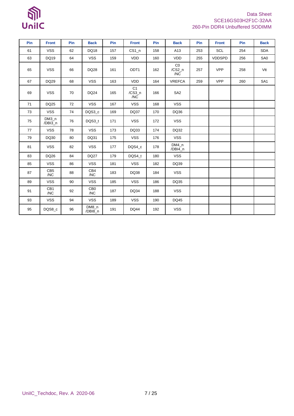## Data Sheet SCE16GS03H2F1C-32AA 260-Pin DDR4 Unbuffered SODIMM

| Pin | <b>Front</b>           | Pin | <b>Back</b>            | Pin | <b>Front</b>          | Pin | <b>Back</b>         | Pin | <b>Front</b>  | Pin | <b>Back</b>     |
|-----|------------------------|-----|------------------------|-----|-----------------------|-----|---------------------|-----|---------------|-----|-----------------|
| 61  | <b>VSS</b>             | 62  | DQ18                   | 157 | $CS1_n$               | 158 | A13                 | 253 | SCL           | 254 | <b>SDA</b>      |
| 63  | DQ19                   | 64  | <b>VSS</b>             | 159 | <b>VDD</b>            | 160 | <b>VDD</b>          | 255 | <b>VDDSPD</b> | 256 | SA0             |
| 65  | <b>VSS</b>             | 66  | DQ28                   | 161 | ODT <sub>1</sub>      | 162 | CO<br>/CS2_n<br>/NC | 257 | <b>VPP</b>    | 258 | Vtt             |
| 67  | DQ29                   | 68  | <b>VSS</b>             | 163 | <b>VDD</b>            | 164 | <b>VREFCA</b>       | 259 | <b>VPP</b>    | 260 | SA <sub>1</sub> |
| 69  | <b>VSS</b>             | 70  | DQ24                   | 165 | C1<br>$/CS3_n$<br>/NC | 166 | SA <sub>2</sub>     |     |               |     |                 |
| 71  | DQ25                   | 72  | <b>VSS</b>             | 167 | <b>VSS</b>            | 168 | <b>VSS</b>          |     |               |     |                 |
| 73  | <b>VSS</b>             | 74  | DQS3_c                 | 169 | DQ37                  | 170 | DQ36                |     |               |     |                 |
| 75  | $DM3_n$<br>/DBI3_n     | 76  | DQS3_t                 | 171 | <b>VSS</b>            | 172 | <b>VSS</b>          |     |               |     |                 |
| 77  | <b>VSS</b>             | 78  | <b>VSS</b>             | 173 | DQ33                  | 174 | DQ32                |     |               |     |                 |
| 79  | DQ30                   | 80  | DQ31                   | 175 | <b>VSS</b>            | 176 | <b>VSS</b>          |     |               |     |                 |
| 81  | <b>VSS</b>             | 82  | <b>VSS</b>             | 177 | DQS4 c                | 178 | DM4 n<br>/DBI4_n    |     |               |     |                 |
| 83  | DQ26                   | 84  | DQ27                   | 179 | DQS4_t                | 180 | <b>VSS</b>          |     |               |     |                 |
| 85  | <b>VSS</b>             | 86  | <b>VSS</b>             | 181 | <b>VSS</b>            | 182 | DQ39                |     |               |     |                 |
| 87  | CB5<br>/NC             | 88  | CB4<br>/NC             | 183 | DQ38                  | 184 | <b>VSS</b>          |     |               |     |                 |
| 89  | <b>VSS</b>             | 90  | <b>VSS</b>             | 185 | <b>VSS</b>            | 186 | DQ35                |     |               |     |                 |
| 91  | CB <sub>1</sub><br>/NC | 92  | CB <sub>0</sub><br>/NC | 187 | DQ34                  | 188 | <b>VSS</b>          |     |               |     |                 |
| 93  | <b>VSS</b>             | 94  | <b>VSS</b>             | 189 | <b>VSS</b>            | 190 | DQ45                |     |               |     |                 |
| 95  | DQS8_c                 | 96  | $DM8_n$<br>/DBI8_n     | 191 | <b>DQ44</b>           | 192 | <b>VSS</b>          |     |               |     |                 |

 $\mathbb{S}$ 

UnilC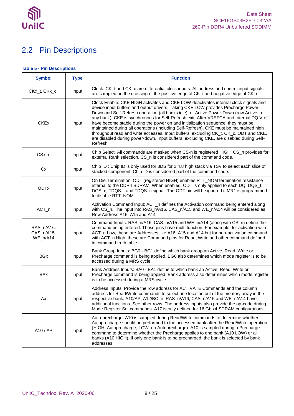

# <span id="page-7-0"></span>2.2 Pin Descriptions

## <span id="page-7-1"></span>**Table 5 - Pin Descriptions**

| <b>Symbol</b>                        | <b>Type</b> | <b>Function</b>                                                                                                                                                                                                                                                                                                                                                                                                                                                                                                                                                                                                                                                                                                                           |
|--------------------------------------|-------------|-------------------------------------------------------------------------------------------------------------------------------------------------------------------------------------------------------------------------------------------------------------------------------------------------------------------------------------------------------------------------------------------------------------------------------------------------------------------------------------------------------------------------------------------------------------------------------------------------------------------------------------------------------------------------------------------------------------------------------------------|
| CKx_t, CKx_c,                        | Input       | Clock: CK_t and CK_c are differential clock inputs. All address and control input signals<br>are sampled on the crossing of the positive edge of CK_t and negative edge of CK_c.                                                                                                                                                                                                                                                                                                                                                                                                                                                                                                                                                          |
| <b>CKEx</b>                          | Input       | Clock Enable: CKE HIGH activates and CKE LOW deactivates internal clock signals and<br>device input buffers and output drivers. Taking CKE LOW provides Precharge Power-<br>Down and Self-Refresh operation (all banks idle), or Active Power-Down (row Active in<br>any bank). CKE is synchronous for Self-Refresh exit. After VREFCA and Internal DQ Vref<br>have become stable during the power on and initialization sequence, they must be<br>maintained during all operations (including Self-Refresh). CKE must be maintained high<br>throughout read and write accesses. Input buffers, excluding CK_t, CK_c, ODT and CKE,<br>are disabled during power-down. Input buffers, excluding CKE, are disabled during Self-<br>Refresh. |
| CSx_n                                | Input       | Chip Select: All commands are masked when CS-n is registered HIGH. CS_n provides for<br>external Rank selection. CS_n is considered part of the command code.                                                                                                                                                                                                                                                                                                                                                                                                                                                                                                                                                                             |
| Cx                                   | Input       | Chip ID: Chip ID is only used for 3DS for 2,4,8 high stack via TSV to select each slice of<br>stacked component. Chip ID is considered part of the command code.                                                                                                                                                                                                                                                                                                                                                                                                                                                                                                                                                                          |
| <b>ODTx</b>                          | Input       | On Die Termination: ODT (registered HIGH) enables RTT_NOM termination resistance<br>internal to the DDR4 SDRAM. When enabled, ODT is only applied to each DQ, DQS_t,<br>DQS_c, TDQS_t and TDQS_c signal. The ODT pin will be ignored if MR1 is programmed<br>to disable RTT_NOM.                                                                                                                                                                                                                                                                                                                                                                                                                                                          |
| $ACT_n$                              | Input       | Activation Command Input: ACT_n defines the Activation command being entered along<br>with CS_n. The input into RAS_n/A16, CAS_n/A15 and WE_n/A14 will be considered as<br>Row Address A16, A15 and A14                                                                                                                                                                                                                                                                                                                                                                                                                                                                                                                                   |
| RAS_n/A16.<br>CAS_n/A15.<br>WE_n/A14 | Input       | Command Inputs: RAS_n/A16, CAS_n/A15 and WE_n/A14 (along with CS_n) define the<br>command being entered. Those pins have multi function. For example, for activation with<br>ACT_n Low, these are Addresses like A16, A15 and A14 but for non-activation command<br>with ACT_n High, these are Command pins for Read, Write and other command defined<br>in command truth table                                                                                                                                                                                                                                                                                                                                                           |
| <b>BGx</b>                           | Input       | Bank Group Inputs: BG0 - BG1 define which bank group an Active, Read, Write or<br>Precharge command is being applied. BG0 also determines which mode register is to be<br>accessed during a MRS cycle.                                                                                                                                                                                                                                                                                                                                                                                                                                                                                                                                    |
| <b>BAx</b>                           | Input       | Bank Address Inputs: BA0 - BA1 define to which bank an Active, Read, Write or<br>Precharge command is being applied. Bank address also determines which mode register<br>is to be accessed during a MRS cycle.                                                                                                                                                                                                                                                                                                                                                                                                                                                                                                                            |
| Ax                                   | Input       | Address Inputs: Provide the row address for ACTIVATE Commands and the column<br>address for Read/Write commands to select one location out of the memory array in the<br>respective bank. A10/AP, A12/BC_n, RAS_n/A16, CAS_n/A15 and WE_n/A14 have<br>additional functions. See other rows. The address inputs also provide the op-code during<br>Mode Register Set commands. A17 is only defined for 16 Gb x4 SDRAM configurations.                                                                                                                                                                                                                                                                                                      |
| A10 / AP                             | Input       | Auto-precharge: A10 is sampled during Read/Write commands to determine whether<br>Autoprecharge should be performed to the accessed bank after the Read/Write operation.<br>(HIGH: Autoprecharge; LOW: no Autoprecharge). A10 is sampled during a Precharge<br>command to determine whether the Precharge applies to one bank (A10 LOW) or all<br>banks (A10 HIGH). If only one bank is to be precharged, the bank is selected by bank<br>addresses.                                                                                                                                                                                                                                                                                      |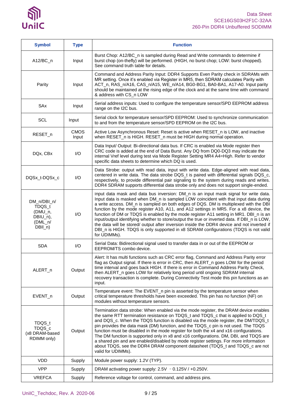

| <b>Symbol</b>                                                          | <b>Type</b>          | <b>Function</b>                                                                                                                                                                                                                                                                                                                                                                                                                                                                                                                                                                                                                                                                                                                                              |
|------------------------------------------------------------------------|----------------------|--------------------------------------------------------------------------------------------------------------------------------------------------------------------------------------------------------------------------------------------------------------------------------------------------------------------------------------------------------------------------------------------------------------------------------------------------------------------------------------------------------------------------------------------------------------------------------------------------------------------------------------------------------------------------------------------------------------------------------------------------------------|
| $A12/BC_n$                                                             | Input                | Burst Chop: A12/BC_n is sampled during Read and Write commands to determine if<br>burst chop (on-thefly) will be performed. (HIGH, no burst chop; LOW: burst chopped).<br>See command truth table for details.                                                                                                                                                                                                                                                                                                                                                                                                                                                                                                                                               |
| Parity                                                                 | Input                | Command and Address Parity Input: DDR4 Supports Even Parity check in SDRAMs with<br>MR setting. Once it's enabled via Register in MR5, then SDRAM calculates Parity with<br>ACT_n, RAS_n/A16, CAS_n/A15, WE_n/A14, BG0-BG1, BA0-BA1, A17-A0. Input parity<br>should be maintained at the rising edge of the clock and at the same time with command<br>& address with CS_n LOW                                                                                                                                                                                                                                                                                                                                                                               |
| SAx                                                                    | Input                | Serial address inputs: Used to configure the temperature sensor/SPD EEPROM address<br>range on the I2C bus.                                                                                                                                                                                                                                                                                                                                                                                                                                                                                                                                                                                                                                                  |
| <b>SCL</b>                                                             | Input                | Serial clock for temperature sensor/SPD EEPROM: Used to synchronize communication<br>to and from the temperature sensor/SPD EEPROM on the I2C bus.                                                                                                                                                                                                                                                                                                                                                                                                                                                                                                                                                                                                           |
| RESET_n                                                                | <b>CMOS</b><br>Input | Active Low Asynchronous Reset: Reset is active when RESET_n is LOW, and inactive<br>when RESET_n is HIGH. RESET_n must be HIGH during normal operation.                                                                                                                                                                                                                                                                                                                                                                                                                                                                                                                                                                                                      |
| DQx, CBx                                                               | I/O                  | Data Input/ Output: Bi-directional data bus. If CRC is enabled via Mode register then<br>CRC code is added at the end of Data Burst. Any DQ from DQ0-DQ3 may indicate the<br>internal Vref level during test via Mode Register Setting MR4 A4=High. Refer to vendor<br>specific data sheets to determine which DQ is used.                                                                                                                                                                                                                                                                                                                                                                                                                                   |
| DQSx_t-DQSx_c                                                          | I/O                  | Data Strobe: output with read data, input with write data. Edge-aligned with read data,<br>centered in write data. The data strobe DQS_t is paired with differential signals DQS_c,<br>respectively, to provide differential pair signaling to the system during reads and writes.<br>DDR4 SDRAM supports differential data strobe only and does not support single-ended.                                                                                                                                                                                                                                                                                                                                                                                   |
| DM_n/DBI_n/<br>TDQS_t<br>(DMU_n,<br>DBIU_n),<br>$(DML_n/$<br>$DBII_n)$ | I/O                  | Input data mask and data bus inversion: DM_n is an input mask signal for write data.<br>Input data is masked when DM_n is sampled LOW coincident with that input data during<br>a write access. DM_n is sampled on both edges of DQS. DM is multiplexed with the DBI<br>function by the mode register A10, A11, and A12 settings in MR5. For a x8 device, the<br>function of DM or TDQS is enabled by the mode register A11 setting in MR1. DBI_n is an<br>input/output identifying whether to store/output the true or inverted data. If DBI_n is LOW,<br>the data will be stored/ output after inversion inside the DDR4 device and not inverted if<br>DBI_n is HIGH. TDQS is only supported in x8 SDRAM configurations (TDQS is not valid<br>for UDIMMs). |
| <b>SDA</b>                                                             | I/O                  | Serial Data: Bidirectional signal used to transfer data in or out of the EEPROM or<br>EEPROM/TS combo device.                                                                                                                                                                                                                                                                                                                                                                                                                                                                                                                                                                                                                                                |
| ALERT_n                                                                | Output               | Alert: It has multi functions such as CRC error flag, Command and Address Parity error<br>flag as Output signal. If there is error in CRC, then ALERT n goes LOW for the period<br>time interval and goes back HIGH. If there is error in Command Address Parity Check,<br>then ALERT_n goes LOW for relatively long period until ongoing SDRAM internal<br>recovery transaction is complete. During Connectivity Test mode this pin functions as an<br>input.                                                                                                                                                                                                                                                                                               |
| EVENT_n                                                                | Output               | Temperature event: The EVENT_n pin is asserted by the temperature sensor when<br>critical temperature thresholds have been exceeded. This pin has no function (NF) on<br>modules without temperature sensors.                                                                                                                                                                                                                                                                                                                                                                                                                                                                                                                                                |
| TDQS_t<br>TDQS_c<br>(x8 DRAM-based<br>RDIMM only)                      | Output               | Termination data strobe: When enabled via the mode register, the DRAM device enables<br>the same RTT termination resistance on TDQS_t and TDQS_c that is applied to DQS_t<br>and DQS_c. When the TDQS function is disabled via the mode register, the DM/TDQS_t<br>pin provides the data mask (DM) function, and the TDQS_c pin is not used. The TDQS<br>function must be disabled in the mode register for both the x4 and x16 configurations.<br>The DM function is supported only in x8 and x16 configurations. DM, DBI, and TDQS are<br>a shared pin and are enabled/disabled by mode register settings. For more information<br>about TDQS, see the DDR4 DRAM component datasheet (TDQS_t and TDQS_c are not<br>valid for UDIMMs).                      |
| <b>VDD</b>                                                             | Supply               | Module power supply: 1.2V (TYP).                                                                                                                                                                                                                                                                                                                                                                                                                                                                                                                                                                                                                                                                                                                             |
| <b>VPP</b>                                                             | Supply               | DRAM activating power supply: 2.5V - 0.125V / +0.250V.                                                                                                                                                                                                                                                                                                                                                                                                                                                                                                                                                                                                                                                                                                       |
| <b>VREFCA</b>                                                          | Supply               | Reference voltage for control, command, and address pins.                                                                                                                                                                                                                                                                                                                                                                                                                                                                                                                                                                                                                                                                                                    |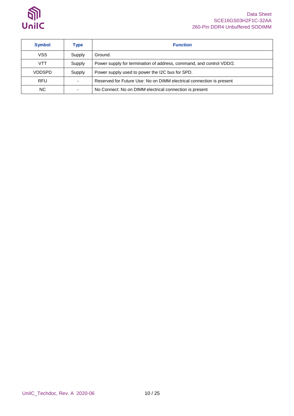

### Data Sheet SCE16GS03H2F1C-32AA 260-Pin DDR4 Unbuffered SODIMM

| <b>Symbol</b> | Type   | <b>Function</b>                                                      |
|---------------|--------|----------------------------------------------------------------------|
| VSS           | Supply | Ground.                                                              |
| <b>VTT</b>    | Supply | Power supply for termination of address, command, and control VDD/2. |
| VDDSPD        | Supply | Power supply used to power the I2C bus for SPD.                      |
| <b>RFU</b>    |        | Reserved for Future Use: No on DIMM electrical connection is present |
| NC.           |        | No Connect: No on DIMM electrical connection is present              |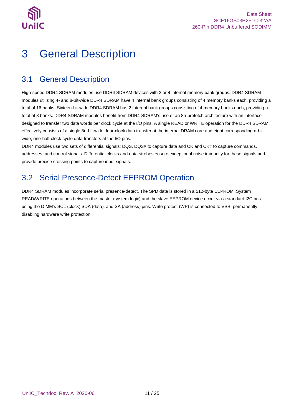

# <span id="page-10-0"></span>3 General Description

## <span id="page-10-1"></span>3.1 General Description

High-speed DDR4 SDRAM modules use DDR4 SDRAM devices with 2 or 4 internal memory bank groups. DDR4 SDRAM modules utilizing 4- and 8-bit-wide DDR4 SDRAM have 4 internal bank groups consisting of 4 memory banks each, providing a total of 16 banks. Sixteen-bit-wide DDR4 SDRAM has 2 internal bank groups consisting of 4 memory banks each, providing a total of 8 banks. DDR4 SDRAM modules benefit from DDR4 SDRAM's use of an 8n-prefetch architecture with an interface designed to transfer two data words per clock cycle at the I/O pins. A single READ or WRITE operation for the DDR4 SDRAM effectively consists of a single 8n-bit-wide, four-clock data transfer at the internal DRAM core and eight corresponding n-bit wide, one-half-clock-cycle data transfers at the I/O pins.

DDR4 modules use two sets of differential signals: DQS, DQS# to capture data and CK and CK# to capture commands, addresses, and control signals. Differential clocks and data strobes ensure exceptional noise immunity for these signals and provide precise crossing points to capture input signals.

## <span id="page-10-2"></span>3.2 Serial Presence-Detect EEPROM Operation

DDR4 SDRAM modules incorporate serial presence-detect. The SPD data is stored in a 512-byte EEPROM. System READ/WRITE operations between the master (system logic) and the slave EEPROM device occur via a standard I2C bus using the DIMM's SCL (clock) SDA (data), and SA (address) pins. Write protect (WP) is connected to VSS, permanently disabling hardware write protection.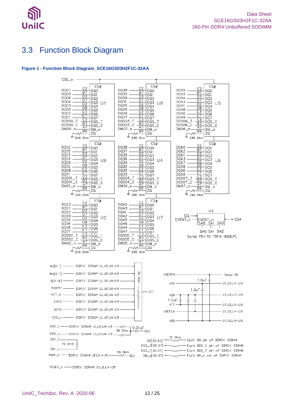

## <span id="page-11-0"></span>3.3 Function Block Diagram

#### <span id="page-11-1"></span>**Figure 1 - Function Block Diagram\_SCE16GS03H2F1C-32AA**



RESET\_n -- DDRIV SDRAM U1JU2JU4-U9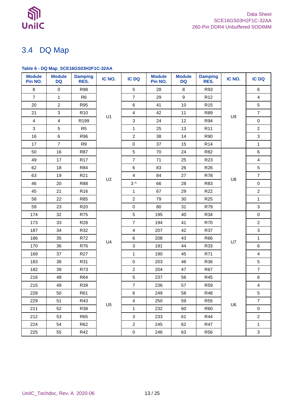

## <span id="page-12-0"></span>3.4 DQ Map

### <span id="page-12-1"></span>**Table 6 - DQ Map\_SCE16GS03H2F1C-32AA**

| <b>Module</b><br>Pin NO. | <b>Module</b><br><b>DQ</b> | <b>Damping</b><br>RES. | IC NO.         | <b>IC DQ</b>     | <b>Module</b><br>Pin NO. | <b>Module</b><br><b>DQ</b> | <b>Damping</b><br>RES. | IC NO. | <b>IC DQ</b>   |
|--------------------------|----------------------------|------------------------|----------------|------------------|--------------------------|----------------------------|------------------------|--------|----------------|
| 8                        | $\mathbf 0$                | <b>R98</b>             |                | 5                | 28                       | 8                          | R93                    |        | 6              |
| $\overline{7}$           | 1                          | R <sub>6</sub>         |                | $\overline{7}$   | 29                       | 9                          | R <sub>12</sub>        |        | $\overline{4}$ |
| 20                       | $\overline{2}$             | <b>R95</b>             |                | $\,6\,$          | 41                       | $10$                       | R <sub>15</sub>        |        | 5              |
| 21                       | 3                          | R <sub>10</sub>        |                | $\overline{4}$   | 42                       | 11                         | R89                    |        | $\overline{7}$ |
| $\overline{4}$           | 4                          | R199                   | U1             | $\mathbf{3}$     | 24                       | 12                         | <b>R94</b>             | U9     | $\pmb{0}$      |
| $\mathbf{3}$             | 5                          | R <sub>5</sub>         |                | $\mathbf{1}$     | 25                       | 13                         | R <sub>11</sub>        |        | $\overline{2}$ |
| 16                       | 6                          | R96                    |                | $\overline{c}$   | 38                       | 14                         | <b>R90</b>             |        | 3              |
| 17                       | $\overline{7}$             | R <sub>9</sub>         |                | $\pmb{0}$        | 37                       | 15                         | R <sub>14</sub>        |        | $\mathbf{1}$   |
| 50                       | 16                         | <b>R87</b>             |                | 5                | 70                       | 24                         | R82                    |        | 6              |
| 49                       | 17                         | R <sub>17</sub>        |                | $\overline{7}$   | 71                       | 25                         | R <sub>23</sub>        |        | $\overline{4}$ |
| 62                       | 18                         | <b>R84</b>             |                | $\,6\,$          | 83                       | 26                         | R <sub>26</sub>        |        | 5              |
| 63                       | 19                         | R <sub>21</sub>        |                | $\overline{4}$   | 84                       | 27                         | <b>R78</b>             | U8     | $\overline{7}$ |
| 46                       | 20                         | <b>R88</b>             | U2             | $3^{\wedge}$     | 66                       | 28                         | R83                    |        | $\pmb{0}$      |
| 45                       | 21                         | R <sub>16</sub>        |                | $\mathbf{1}$     | 67                       | 29                         | R <sub>22</sub>        |        | $\overline{2}$ |
| 58                       | 22                         | <b>R85</b>             |                | $\overline{c}$   | 79                       | 30                         | R <sub>25</sub>        |        | $\mathbf{1}$   |
| 59                       | 23                         | <b>R20</b>             |                | $\pmb{0}$        | 80                       | 31                         | R79                    |        | 3              |
| 174                      | 32                         | <b>R75</b>             |                | 5                | 195                      | 40                         | R34                    |        | $\mathbf 0$    |
| 173                      | 33                         | <b>R28</b>             |                | $\overline{7}$   | 194                      | 41                         | R70                    |        | $\overline{a}$ |
| 187                      | 34                         | R32                    |                | $\overline{4}$   | 207                      | 42                         | R37                    |        | 3              |
| 186                      | 35                         | R72                    | U <sub>4</sub> | $\,6\,$          | 208                      | 43                         | R66                    | U7     | $\mathbf{1}$   |
| 170                      | 36                         | R76                    |                | $\mathbf{3}$     | 191                      | 44                         | R33                    |        | 6              |
| 169                      | 37                         | <b>R27</b>             |                | $\mathbf{1}$     | 190                      | 45                         | R71                    |        | $\overline{4}$ |
| 183                      | 38                         | R31                    |                | $\pmb{0}$        | 203                      | 46                         | R36                    |        | 5              |
| 182                      | 39                         | R73                    |                | $\overline{2}$   | 204                      | 47                         | <b>R67</b>             |        | $\overline{7}$ |
| 216                      | 48                         | <b>R64</b>             |                | 5                | 237                      | 56                         | R45                    |        | $\,6\,$        |
| 215                      | 49                         | R39                    |                | $\boldsymbol{7}$ | 236                      | 57                         | <b>R59</b>             |        | $\overline{4}$ |
| 228                      | 50                         | <b>R61</b>             |                | $\,6\,$          | 249                      | 58                         | <b>R48</b>             |        | 5              |
| 229                      | 51                         | R43                    | U <sub>5</sub> | $\overline{4}$   | 250                      | 59                         | <b>R55</b>             | U6     | $\overline{7}$ |
| 211                      | 52                         | <b>R38</b>             |                | $\mathbf{1}$     | 232                      | 60                         | R60                    |        | $\pmb{0}$      |
| 212                      | 53                         | R65                    |                | $\mathbf{3}$     | 233                      | 61                         | <b>R44</b>             |        | $\overline{2}$ |
| 224                      | 54                         | R62                    |                | $\overline{a}$   | 245                      | 62                         | <b>R47</b>             |        | $\mathbf{1}$   |
| 225                      | 55                         | R42                    |                | $\pmb{0}$        | 246                      | 63                         | R56                    |        | 3              |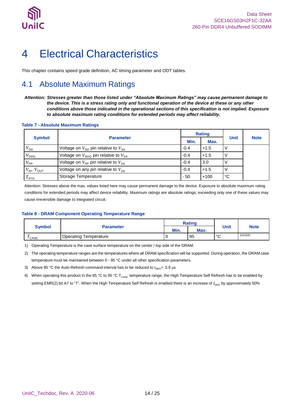

# <span id="page-13-0"></span>4 Electrical Characteristics

This chapter contains speed grade definition, AC timing parameter and ODT tables.

## <span id="page-13-1"></span>4.1 Absolute Maximum Ratings

*Attention: Stresses greater than those listed under "Absolute Maximum Ratings" may cause permanent damage to the device. This is a stress rating only and functional operation of the device at these or any other conditions above those indicated in the operational sections of this specification is not implied. Exposure to absolute maximum rating conditions for extended periods may affect reliability.*

#### <span id="page-13-2"></span>**Table 7 - Absolute Maximum Ratings**

| <b>Symbol</b>                      |                                                             |        | <b>Rating</b> |             |             |
|------------------------------------|-------------------------------------------------------------|--------|---------------|-------------|-------------|
|                                    | <b>Parameter</b>                                            | Min.   | Max.          | <b>Unit</b> | <b>Note</b> |
| $V^{}_{\mathsf{DD}}$               | Voltage on $V_{DD}$ pin relative to $V_{SS}$                | $-0.4$ | $+1.5$        |             |             |
| $V_{\mathsf{DDQ}}$                 | Voltage on $V_{\text{DDO}}$ pin relative to $V_{\text{SS}}$ | $-0.4$ | $+1.5$        |             |             |
| $V_{\mathsf{PP}}$                  | Voltage on $V_{\text{PP}}$ pin relative to $V_{\text{SS}}$  | $-0.4$ | 3.0           |             |             |
| $V_{\text{IN}}$ , $V_{\text{OUT}}$ | Voltage on any pin relative to $V_{SS}$                     | $-0.4$ | $+1.5$        |             |             |
| $T_{\text{STG}}$                   | Storage Temperature                                         | $-50$  | $+100$        | C           |             |

Attention: Stresses above the max. values listed here may cause permanent damage to the device. Exposure to absolute maximum rating conditions for extended periods may affect device reliability. Maximum ratings are absolute ratings; exceeding only one of these values may cause irreversible damage to integrated circuit.

#### <span id="page-13-3"></span>**Table 8 - DRAM Component Operating Temperature Range**

|                                   |                              | <b>Rating</b> |      |             |             |  |
|-----------------------------------|------------------------------|---------------|------|-------------|-------------|--|
| <b>Symbol</b>                     | <b>Parameter</b>             | Min.          | Max. | <b>Unit</b> | <b>Note</b> |  |
| $\mathbf{r}$<br><sup>1</sup> CASE | <b>Operating Temperature</b> |               | 95   | $\sim$<br>ັ | 1)2)3)4)    |  |

1) Operating Temperature is the case surface temperature on the center / top side of the DRAM.

2) The operating temperature ranges are the temperatures where all DRAM specification will be supported. During operation, the DRAM case temperature must be maintained between 0 - 95 °C under all other specification parameters.

3) Above 85 °C the Auto-Refresh command interval has to be reduced to  $t_{REF}$  = 3.9 µs

4) When operating this product in the 85 °C to 95 °C T<sub>CASE</sub> temperature range, the High Temperature Self Refresh has to be enabled by setting EMR(2) bit A7 to "1". When the High Temperature Self Refresh is enabled there is an increase of  $I_{DDE}$  by approximately 50%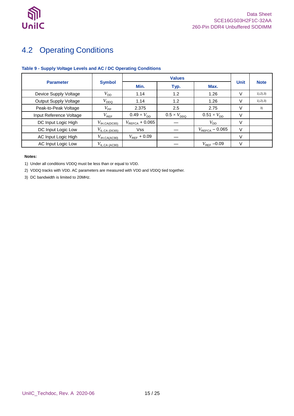

## <span id="page-14-0"></span>4.2 Operating Conditions

### <span id="page-14-1"></span>**Table 9 - Supply Voltage Levels and AC / DC Operating Conditions**

|                              |                                                 | <b>Values</b>               |                      |                            |             |             |
|------------------------------|-------------------------------------------------|-----------------------------|----------------------|----------------------------|-------------|-------------|
| <b>Parameter</b>             | <b>Symbol</b>                                   | Min.                        | Typ.                 | Max.                       | <b>Unit</b> | <b>Note</b> |
| Device Supply Voltage        | $V_{\mathsf{DD}}$                               | 1.14                        | 1.2                  | 1.26                       | V           | 1), 2), 3)  |
| <b>Output Supply Voltage</b> | $V_{DDQ}$                                       | 1.14                        | 1.2                  | 1.26                       | V           | 1), 2), 3)  |
| Peak-to-Peak Voltage         | $V_{\sf PP}$                                    | 2.375                       | 2.5                  | 2.75                       | V           | 3)          |
| Input Reference Voltage      | $V_{\mathsf{REF}}$                              | $0.49 \times V_{\text{DD}}$ | $0.5 \times V_{DDO}$ | $0.51 \times V_{DD}$       | V           |             |
| DC Input Logic High          | $V_{\text{IH.CA(DC65)}}$                        | $V_{\text{REFCA}}$ + 0.065  |                      | $V_{\mathsf{DD}}$          | V           |             |
| DC Input Logic Low           | $V_{\mathsf{IL}.\mathsf{CA} \ \mathsf{(DC65)}}$ | <b>Vss</b>                  |                      | $V_{\text{REFCA}}$ – 0.065 | V           |             |
| AC Input Logic High          | $V_{\text{IH.CA(AC90)}}$                        | $V_{REF}$ + 0.09            |                      |                            | V           |             |
| AC Input Logic Low           | $V_{\text{ILCA (AC90)}}$                        |                             |                      | $V_{\text{REF}}$ –0.09     | v           |             |

#### **Notes:**

1) Under all conditions VDDQ must be less than or equal to VDD.

2) VDDQ tracks with VDD. AC parameters are measured with VDD and VDDQ tied together.

3) DC bandwidth is limited to 20MHz.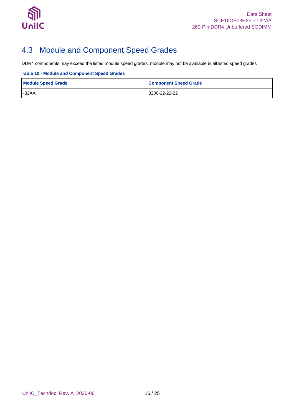

## <span id="page-15-0"></span>4.3 Module and Component Speed Grades

DDR4 components may exceed the listed module speed grades; module may not be available in all listed speed grades

#### <span id="page-15-1"></span>**Table 10 - Module and Component Speed Grades**

| <b>Module Speed Grade</b> | <b>Component Speed Grade</b> |
|---------------------------|------------------------------|
| $-32AA$                   | 3200-22-22-22                |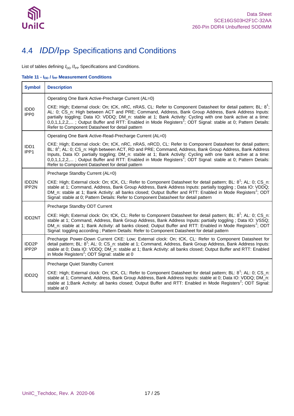

# <span id="page-16-0"></span>4.4 *IDD/I*PP Specifications and Conditions

List of tables defining  $I_{\text{DD}}$  / $I_{\text{PP}}$  Specifications and Conditions.

<span id="page-16-1"></span>**Table 11 - IDD / IPP Measurement Conditions**

| <b>Symbol</b>                        | <b>Description</b>                                                                                                                                                                                                                                                                                                                                                                                                                                                                                                              |
|--------------------------------------|---------------------------------------------------------------------------------------------------------------------------------------------------------------------------------------------------------------------------------------------------------------------------------------------------------------------------------------------------------------------------------------------------------------------------------------------------------------------------------------------------------------------------------|
|                                      | Operating One Bank Active-Precharge Current (AL=0)                                                                                                                                                                                                                                                                                                                                                                                                                                                                              |
| IDD <sub>0</sub><br>IPP <sub>0</sub> | CKE: High; External clock: On; tCK, nRC, nRAS, CL: Refer to Component Datasheet for detail pattern; BL: 8 <sup>1</sup> ;<br>AL: 0; CS_n: High between ACT and PRE; Command, Address, Bank Group Address, Bank Address Inputs:<br>partially toggling; Data IO: VDDQ; DM_n: stable at 1; Bank Activity: Cycling with one bank active at a time:<br>$0,0,1,1,2,2,$ ; Output Buffer and RTT: Enabled in Mode Registers <sup>2</sup> ; ODT Signal: stable at 0; Pattern Details:<br>Refer to Component Datasheet for detail pattern  |
|                                      | Operating One Bank Active-Read-Precharge Current (AL=0)                                                                                                                                                                                                                                                                                                                                                                                                                                                                         |
| IDD1<br>IPP1                         | CKE: High; External clock: On; tCK, nRC, nRAS, nRCD, CL: Refer to Component Datasheet for detail pattern;<br>BL: 8 <sup>1</sup> ; AL: 0; CS_n: High between ACT, RD and PRE; Command, Address, Bank Group Address, Bank Address<br>Inputs, Data IO: partially toggling; DM_n: stable at 1; Bank Activity: Cycling with one bank active at a time:<br>0,0,1,1,2,2,; Output Buffer and RTT: Enabled in Mode Registers <sup>2</sup> ; ODT Signal: stable at 0; Pattern Details:<br>Refer to Component Datasheet for detail pattern |
|                                      | Precharge Standby Current (AL=0)                                                                                                                                                                                                                                                                                                                                                                                                                                                                                                |
| IDD <sub>2N</sub><br>IPP2N           | CKE: High; External clock: On; tCK, CL: Refer to Component Datasheet for detail pattern; BL: 8 <sup>1</sup> ; AL: 0; CS_n:<br>stable at 1; Command, Address, Bank Group Address, Bank Address Inputs: partially toggling ; Data IO: VDDQ;<br>DM_n: stable at 1; Bank Activity: all banks closed; Output Buffer and RTT: Enabled in Mode Registers <sup>2</sup> ; ODT<br>Signal: stable at 0; Pattern Details: Refer to Component Datasheet for detail pattern                                                                   |
|                                      | Precharge Standby ODT Current                                                                                                                                                                                                                                                                                                                                                                                                                                                                                                   |
| IDD2NT                               | CKE: High; External clock: On; tCK, CL: Refer to Component Datasheet for detail pattern; BL: 8 <sup>1</sup> ; AL: 0; CS_n:<br>stable at 1; Command, Address, Bank Group Address, Bank Address Inputs: partially toggling ; Data IO: VSSQ;<br>DM_n: stable at 1; Bank Activity: all banks closed; Output Buffer and RTT: Enabled in Mode Registers <sup>2</sup> ; ODT<br>Signal: toggling according ; Pattern Details: Refer to Component Datasheet for detail pattern                                                           |
| IDD <sub>2</sub> P<br>IPP2P          | Precharge Power-Down Current CKE: Low; External clock: On; tCK, CL: Refer to Component Datasheet for<br>detail pattern; BL: 8 <sup>1</sup> ; AL: 0; CS_n: stable at 1; Command, Address, Bank Group Address, Bank Address Inputs:<br>stable at 0; Data IO: VDDQ; DM_n: stable at 1; Bank Activity: all banks closed; Output Buffer and RTT: Enabled<br>in Mode Registers <sup>2</sup> ; ODT Signal: stable at 0                                                                                                                 |
|                                      | Precharge Quiet Standby Current                                                                                                                                                                                                                                                                                                                                                                                                                                                                                                 |
| IDD <sub>2Q</sub>                    | CKE: High; External clock: On; tCK, CL: Refer to Component Datasheet for detail pattern; BL: 8 <sup>1</sup> ; AL: 0; CS_n:<br>stable at 1; Command, Address, Bank Group Address, Bank Address Inputs: stable at 0; Data IO: VDDQ; DM_n:<br>stable at 1;Bank Activity: all banks closed; Output Buffer and RTT: Enabled in Mode Registers <sup>2</sup> ; ODT Signal:<br>stable at 0                                                                                                                                              |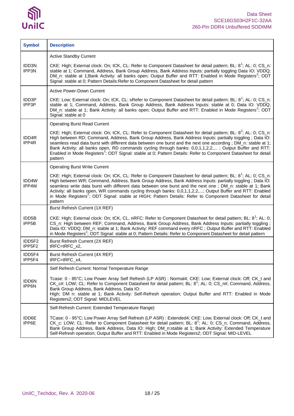

| <b>Symbol</b>               | <b>Description</b>                                                                                                                                                                                                                                                                                                                                                                                                                                                                                                                                                                                          |
|-----------------------------|-------------------------------------------------------------------------------------------------------------------------------------------------------------------------------------------------------------------------------------------------------------------------------------------------------------------------------------------------------------------------------------------------------------------------------------------------------------------------------------------------------------------------------------------------------------------------------------------------------------|
|                             | <b>Active Standby Current</b>                                                                                                                                                                                                                                                                                                                                                                                                                                                                                                                                                                               |
| IDD3N<br>IPP3N              | CKE: High; External clock: On; tCK, CL: Refer to Component Datasheet for detail pattern; BL: 8 <sup>1</sup> ; AL: 0; CS_n:<br>stable at 1; Command, Address, Bank Group Address, Bank Address Inputs: partially toggling Data IO: VDDQ;<br>DM_n: stable at 1;Bank Activity: all banks open; Output Buffer and RTT: Enabled in Mode Registers <sup>2</sup> ; ODT<br>Signal: stable at 0; Pattern Details: Refer to Component Datasheet for detail pattern                                                                                                                                                    |
|                             | <b>Active Power-Down Current</b>                                                                                                                                                                                                                                                                                                                                                                                                                                                                                                                                                                            |
| IDD3P<br>IPP3P              | CKE: Low; External clock: On; tCK, CL: sRefer to Component Datasheet for detail pattern; BL: 8 <sup>1</sup> ; AL: 0; CS_n:<br>stable at 1; Command, Address, Bank Group Address, Bank Address Inputs: stable at 0; Data IO: VDDQ;<br>DM_n: stable at 1; Bank Activity: all banks open; Output Buffer and RTT: Enabled in Mode Registers <sup>2</sup> ; ODT<br>Signal: stable at 0                                                                                                                                                                                                                           |
|                             | <b>Operating Burst Read Current</b>                                                                                                                                                                                                                                                                                                                                                                                                                                                                                                                                                                         |
| IDD4R<br>IPP4R              | CKE: High; External clock: On; tCK, CL: Refer to Component Datasheet for detail pattern; BL: 8 <sup>2</sup> ; AL: 0; CS_n:<br>High between RD; Command, Address, Bank Group Address, Bank Address Inputs: partially toggling ; Data IO:<br>seamless read data burst with different data between one burst and the next one according; DM_n: stable at 1;<br>Bank Activity: all banks open, RD commands cycling through banks: 0,0,1,1,2,2,; Output Buffer and RTT:<br>Enabled in Mode Registers <sup>2</sup> ; ODT Signal: stable at 0; Pattern Details: Refer to Component Datasheet for detail<br>pattern |
|                             | <b>Operating Burst Write Current</b>                                                                                                                                                                                                                                                                                                                                                                                                                                                                                                                                                                        |
| IDD4W<br>IPP4W              | CKE: High; External clock: On; tCK, CL: Refer to Component Datasheet for detail pattern; BL: 8 <sup>1</sup> ; AL: 0; CS_n:<br>High between WR; Command, Address, Bank Group Address, Bank Address Inputs: partially toggling; Data IO:<br>seamless write data burst with different data between one burst and the next one; DM_n: stable at 1; Bank<br>Activity: all banks open, WR commands cycling through banks: 0,0,1,1,2,2,; Output Buffer and RTT: Enabled<br>in Mode Registers <sup>2</sup> ; ODT Signal: stable at HIGH; Pattern Details: Refer to Component Datasheet for detail<br>pattern        |
|                             | Burst Refresh Current (1X REF)                                                                                                                                                                                                                                                                                                                                                                                                                                                                                                                                                                              |
| IDD5B<br>IPP <sub>5</sub> B | CKE: High; External clock: On; tCK, CL, nRFC: Refer to Component Datasheet for detail pattern; BL: 8 <sup>1</sup> ; AL: 0;<br>CS_n: High between REF; Command, Address, Bank Group Address, Bank Address Inputs: partially toggling;<br>Data IO: VDDQ; DM_n: stable at 1; Bank Activity: REF command every nRFC ; Output Buffer and RTT: Enabled<br>in Mode Registers <sup>2</sup> ; ODT Signal: stable at 0; Pattern Details: Refer to Component Datasheet for detail pattern                                                                                                                              |
| IDD5F2<br>IPP5F2            | Burst Refresh Current (2X REF)<br>tRFC=tRFC_x2,                                                                                                                                                                                                                                                                                                                                                                                                                                                                                                                                                             |
| IDD5F4<br>IPP5F4            | Burst Refresh Current (4X REF)<br>tRFC=tRFC_x4,                                                                                                                                                                                                                                                                                                                                                                                                                                                                                                                                                             |
|                             | Self Refresh Current: Normal Temperature Range                                                                                                                                                                                                                                                                                                                                                                                                                                                                                                                                                              |
| IDD6N<br>IPP6N              | Tcase: 0 - 85°C; Low Power Array Self Refresh (LP ASR) : Normal4; CKE: Low; External clock: Off; CK_t and<br>CK_c#: LOW; CL: Refer to Component Datasheet for detail pattern; BL: 8 <sup>1</sup> ; AL: 0; CS_n#, Command, Address,<br>Bank Group Address, Bank Address, Data IO:<br>High; DM n: stable at 1; Bank Activity: Self-Refresh operation; Output Buffer and RTT: Enabled in Mode<br>Registers2; ODT Signal: MIDLEVEL                                                                                                                                                                              |
|                             | Self-Refresh Current: Extended Temperature Range)                                                                                                                                                                                                                                                                                                                                                                                                                                                                                                                                                           |
| IDD6E<br>IPP6E              | TCase: 0 - 95°C; Low Power Array Self Refresh (LP ASR) : Extended4; CKE: Low; External clock: Off; CK_t and<br>CK_c: LOW; CL: Refer to Component Datasheet for detail pattern; BL: 8 <sup>1</sup> ; AL: 0; CS_n, Command, Address,<br>Bank Group Address, Bank Address, Data IO: High; DM_n:stable at 1; Bank Activity: Extended Temperature<br>Self-Refresh operation; Output Buffer and RTT: Enabled in Mode Registers2; ODT Signal: MID-LEVEL                                                                                                                                                            |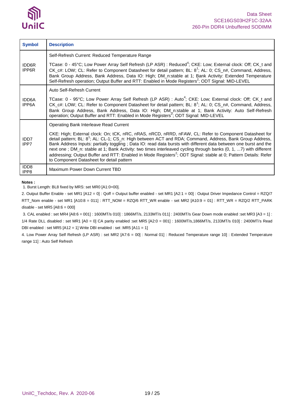

| <b>Symbol</b>            | <b>Description</b>                                                                                                                                                                                                                                                                                                                                                                                                                                                                                                                                                                                                                                |
|--------------------------|---------------------------------------------------------------------------------------------------------------------------------------------------------------------------------------------------------------------------------------------------------------------------------------------------------------------------------------------------------------------------------------------------------------------------------------------------------------------------------------------------------------------------------------------------------------------------------------------------------------------------------------------------|
|                          | Self-Refresh Current: Reduced Temperature Range                                                                                                                                                                                                                                                                                                                                                                                                                                                                                                                                                                                                   |
| IDD6R<br>IPP6R           | TCase: 0 - 45°C; Low Power Array Self Refresh (LP ASR) : Reduced <sup>4</sup> ; CKE: Low; External clock: Off; CK t and<br>CK c#: LOW; CL: Refer to Component Datasheet for detail pattern; BL: 8 <sup>1</sup> ; AL: 0; CS_n#, Command, Address,<br>Bank Group Address, Bank Address, Data IO: High; DM_n:stable at 1; Bank Activity: Extended Temperature<br>Self-Refresh operation; Output Buffer and RTT: Enabled in Mode Registers <sup>2</sup> ; ODT Signal: MID-LEVEL                                                                                                                                                                       |
|                          | Auto Self-Refresh Current                                                                                                                                                                                                                                                                                                                                                                                                                                                                                                                                                                                                                         |
| <b>IDD6A</b><br>IPP6A    | TCase: 0 - 95°C; Low Power Array Self Refresh (LP ASR) : Auto <sup>4</sup> ; CKE: Low; External clock: Off; CK t and<br>CK c#: LOW; CL: Refer to Component Datasheet for detail pattern; BL: 8 <sup>1</sup> ; AL: 0; CS_n#, Command, Address,<br>Bank Group Address, Bank Address, Data IO: High; DM_n:stable at 1; Bank Activity: Auto Self-Refresh<br>operation; Output Buffer and RTT: Enabled in Mode Registers <sup>2</sup> ; ODT Signal: MID-LEVEL                                                                                                                                                                                          |
|                          | Operating Bank Interleave Read Current                                                                                                                                                                                                                                                                                                                                                                                                                                                                                                                                                                                                            |
| IDD <sub>7</sub><br>IPP7 | CKE: High; External clock: On; tCK, nRC, nRAS, nRCD, nRRD, nFAW, CL: Refer to Component Datasheet for<br>detail pattern; BL: 8 <sup>1</sup> ; AL: CL-1; CS_n: High between ACT and RDA; Command, Address, Bank Group Address,<br>Bank Address Inputs: partially toggling; Data IO: read data bursts with different data between one burst and the<br>next one; DM n: stable at 1; Bank Activity: two times interleaved cycling through banks (0, 1, 7) with different<br>addressing; Output Buffer and RTT: Enabled in Mode Registers <sup>2</sup> ; ODT Signal: stable at 0; Pattern Details: Refer<br>to Component Datasheet for detail pattern |
| IDD <sub>8</sub><br>IPP8 | Maximum Power Down Current TBD                                                                                                                                                                                                                                                                                                                                                                                                                                                                                                                                                                                                                    |

#### **Notes :**

1. Burst Length: BL8 fixed by MRS: set MR0 [A1:0=00].

2. Output Buffer Enable - set MR1 [A12 = 0] : Qoff = Output buffer enabled - set MR1 [A2:1 = 00] : Output Driver Impedance Control = RZQ/7 RTT\_Nom enable - set MR1 [A10:8 = 011] : RTT\_NOM = RZQ/6 RTT\_WR enable - set MR2 [A10:9 = 01] : RTT\_WR = RZQ/2 RTT\_PARK disable - set MR5 [A8:6 = 000]

3. CAL enabled : set MR4 [A8:6 = 001] : 1600MT/s 010] : 1866MT/s, 2133MT/s 011] : 2400MT/s Gear Down mode enabled :set MR3 [A3 = 1] : 1/4 Rate DLL disabled : set MR1 [A0 = 0] CA parity enabled :set MR5 [A2:0 = 001] : 1600MT/s,1866MT/s, 2133MT/s 010] : 2400MT/s Read DBI enabled : set MR5 [A12 = 1] Write DBI enabled : set :MR5 [A11 = 1]

4. Low Power Array Self Refresh (LP ASR) : set MR2 [A7:6 = 00] : Normal 01] : Reduced Temperature range 10] : Extended Temperature range 11] : Auto Self Refresh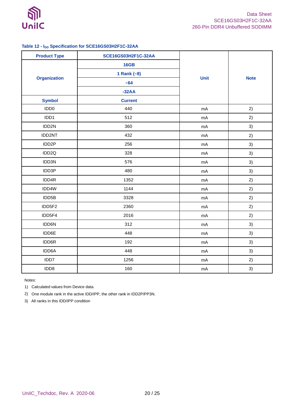

### <span id="page-19-0"></span>**Table 12 - IDD Specification for SCE16GS03H2F1C-32AA**

| <b>Product Type</b> | SCE16GS03H2F1C-32AA |             |             |
|---------------------|---------------------|-------------|-------------|
|                     | <b>16GB</b>         |             |             |
|                     | 1 Rank $(\times 8)$ |             |             |
| <b>Organization</b> | $\times 64$         | <b>Unit</b> | <b>Note</b> |
|                     | $-32AA$             |             |             |
| <b>Symbol</b>       | <b>Current</b>      |             |             |
| IDD <sub>0</sub>    | 440                 | mA          | 2)          |
| IDD1                | 512                 | mA          | 2)          |
| IDD2N               | 360                 | mA          | 3)          |
| IDD2NT              | 432                 | mA          | 2)          |
| IDD <sub>2</sub> P  | 256                 | mA          | 3)          |
| IDD <sub>2Q</sub>   | 328                 | mA          | 3)          |
| IDD3N               | 576                 | mA          | 3)          |
| IDD3P               | 480                 | mA          | 3)          |
| IDD4R               | 1352                | mA          | 2)          |
| IDD4W               | 1144                | mA          | 2)          |
| IDD5B               | 3328                | mA          | 2)          |
| IDD5F2              | 2360                | mA          | 2)          |
| IDD5F4              | 2016                | mA          | 2)          |
| IDD6N               | 312                 | mA          | 3)          |
| IDD6E               | 448                 | mA          | 3)          |
| IDD6R               | 192                 | mA          | 3)          |
| IDD6A               | 448                 | mA          | 3)          |
| IDD7                | 1256                | mA          | 2)          |
| IDD8                | 160                 | mA          | 3)          |

Notes:

1) Calculated values from Device data.

2) One module rank in the active IDD/IPP, the other rank in IDD2P/PP3N.

3) All ranks in this IDD/IPP condition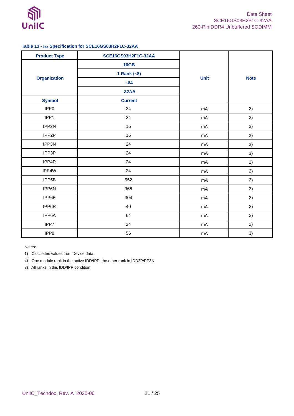

### <span id="page-20-0"></span>**Table 13 - IPP Specification for SCE16GS03H2F1C-32AA**

| <b>Product Type</b> | SCE16GS03H2F1C-32AA |             |             |  |
|---------------------|---------------------|-------------|-------------|--|
|                     | <b>16GB</b>         |             | <b>Note</b> |  |
|                     | 1 Rank $(\times 8)$ |             |             |  |
| <b>Organization</b> | $\times 64$         | <b>Unit</b> |             |  |
|                     | $-32AA$             |             |             |  |
| <b>Symbol</b>       | <b>Current</b>      |             |             |  |
| IPP <sub>0</sub>    | 24                  | mA          | 2)          |  |
| IPP1                | 24                  | mA          | 2)          |  |
| IPP2N               | 16                  | mA          | 3)          |  |
| IPP2P               | $16\,$              | mA          | 3)          |  |
| IPP3N               | 24                  | mA          | 3)          |  |
| IPP3P               | 24                  | mA          | 3)          |  |
| IPP4R               | 24                  | mA          | 2)          |  |
| IPP4W               | 24                  | mA          | 2)          |  |
| IPP5B               | 552                 | mA          | 2)          |  |
| IPP6N               | 368                 | mA          | 3)          |  |
| IPP6E               | 304                 | mA          | 3)          |  |
| IPP6R               | 40                  | mA          | 3)          |  |
| IPP6A               | 64                  | mA          | 3)          |  |
| IPP7                | 24                  | mA          | 2)          |  |
| IPP8                | 56                  | mA          | 3)          |  |

Notes:

1) Calculated values from Device data.

2) One module rank in the active IDD/IPP, the other rank in IDD2P/PP3N.

3) All ranks in this IDD/IPP condition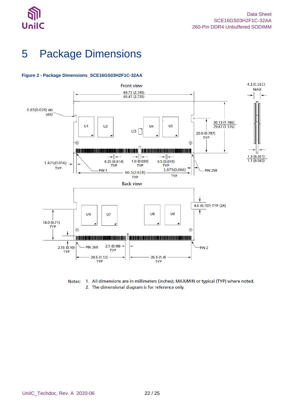



# <span id="page-21-0"></span>5 Package Dimensions



### <span id="page-21-1"></span>**Figure 2 - Package Dimensions\_SCE16GS03H2F1C-32AA**

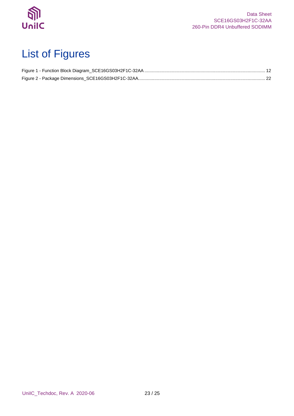

# <span id="page-22-0"></span>List of Figures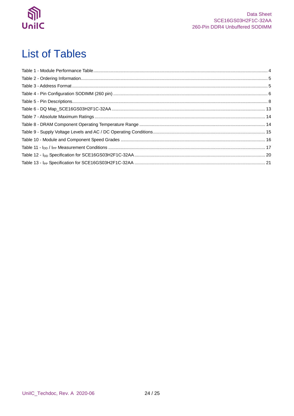

# <span id="page-23-0"></span>**List of Tables**